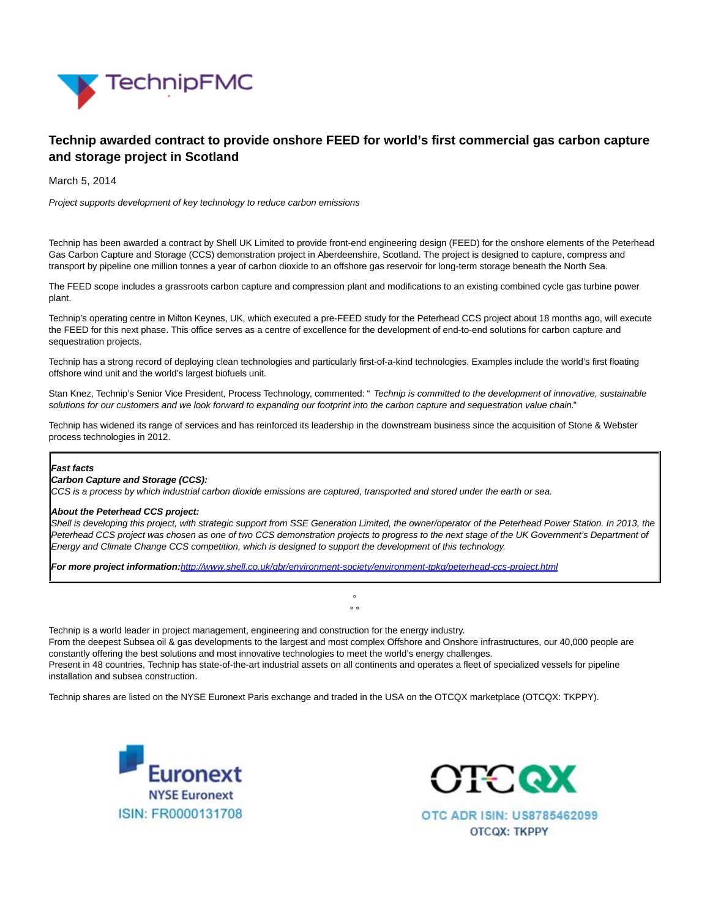

# **Technip awarded contract to provide onshore FEED for world's first commercial gas carbon capture and storage project in Scotland**

March 5, 2014

Project supports development of key technology to reduce carbon emissions

Technip has been awarded a contract by Shell UK Limited to provide front-end engineering design (FEED) for the onshore elements of the Peterhead Gas Carbon Capture and Storage (CCS) demonstration project in Aberdeenshire, Scotland. The project is designed to capture, compress and transport by pipeline one million tonnes a year of carbon dioxide to an offshore gas reservoir for long-term storage beneath the North Sea.

The FEED scope includes a grassroots carbon capture and compression plant and modifications to an existing combined cycle gas turbine power plant.

Technip's operating centre in Milton Keynes, UK, which executed a pre-FEED study for the Peterhead CCS project about 18 months ago, will execute the FEED for this next phase. This office serves as a centre of excellence for the development of end-to-end solutions for carbon capture and sequestration projects.

Technip has a strong record of deploying clean technologies and particularly first-of-a-kind technologies. Examples include the world's first floating offshore wind unit and the world's largest biofuels unit.

Stan Knez, Technip's Senior Vice President, Process Technology, commented: " Technip is committed to the development of innovative, sustainable solutions for our customers and we look forward to expanding our footprint into the carbon capture and sequestration value chain."

Technip has widened its range of services and has reinforced its leadership in the downstream business since the acquisition of Stone & Webster process technologies in 2012.

#### **Fast facts**

### **Carbon Capture and Storage (CCS):**

CCS is a process by which industrial carbon dioxide emissions are captured, transported and stored under the earth or sea.

#### **About the Peterhead CCS project:**

Shell is developing this project, with strategic support from SSE Generation Limited, the owner/operator of the Peterhead Power Station. In 2013, the Peterhead CCS project was chosen as one of two CCS demonstration projects to progress to the next stage of the UK Government's Department of Energy and Climate Change CCS competition, which is designed to support the development of this technology.

> °  $\circ$   $\circ$

**For more project information:**<http://www.shell.co.uk/gbr/environment-society/environment-tpkg/peterhead-ccs-project.html>

Technip is a world leader in project management, engineering and construction for the energy industry. From the deepest Subsea oil & gas developments to the largest and most complex Offshore and Onshore infrastructures, our 40,000 people are constantly offering the best solutions and most innovative technologies to meet the world's energy challenges. Present in 48 countries, Technip has state-of-the-art industrial assets on all continents and operates a fleet of specialized vessels for pipeline installation and subsea construction.

Technip shares are listed on the NYSE Euronext Paris exchange and traded in the USA on the OTCQX marketplace (OTCQX: TKPPY).